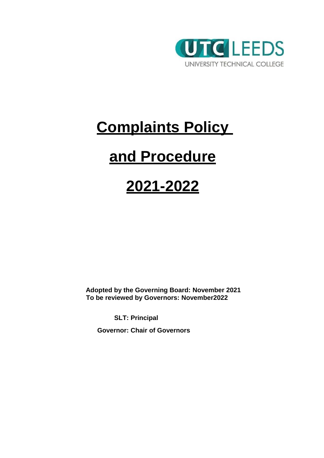

# **Complaints Policy**

# **and Procedure**

# **2021-2022**

**Adopted by the Governing Board: November 2021 To be reviewed by Governors: November2022**

**SLT: Principal**

**Governor: Chair of Governors**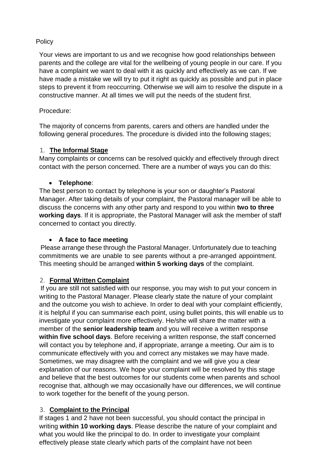# **Policy**

Your views are important to us and we recognise how good relationships between parents and the college are vital for the wellbeing of young people in our care. If you have a complaint we want to deal with it as quickly and effectively as we can. If we have made a mistake we will try to put it right as quickly as possible and put in place steps to prevent it from reoccurring. Otherwise we will aim to resolve the dispute in a constructive manner. At all times we will put the needs of the student first.

#### Procedure:

The majority of concerns from parents, carers and others are handled under the following general procedures. The procedure is divided into the following stages;

# 1. **The Informal Stage**

Many complaints or concerns can be resolved quickly and effectively through direct contact with the person concerned. There are a number of ways you can do this:

# **Telephone**:

The best person to contact by telephone is your son or daughter's Pastoral Manager. After taking details of your complaint, the Pastoral manager will be able to discuss the concerns with any other party and respond to you within **two to three working days**. If it is appropriate, the Pastoral Manager will ask the member of staff concerned to contact you directly.

# **A face to face meeting**

Please arrange these through the Pastoral Manager. Unfortunately due to teaching commitments we are unable to see parents without a pre-arranged appointment. This meeting should be arranged **within 5 working days** of the complaint.

# 2. **Formal Written Complaint**

If you are still not satisfied with our response, you may wish to put your concern in writing to the Pastoral Manager. Please clearly state the nature of your complaint and the outcome you wish to achieve. In order to deal with your complaint efficiently, it is helpful if you can summarise each point, using bullet points, this will enable us to investigate your complaint more effectively. He/she will share the matter with a member of the **senior leadership team** and you will receive a written response **within five school days**. Before receiving a written response, the staff concerned will contact you by telephone and, if appropriate, arrange a meeting. Our aim is to communicate effectively with you and correct any mistakes we may have made. Sometimes, we may disagree with the complaint and we will give you a clear explanation of our reasons. We hope your complaint will be resolved by this stage and believe that the best outcomes for our students come when parents and school recognise that, although we may occasionally have our differences, we will continue to work together for the benefit of the young person.

# 3. **Complaint to the Principal**

If stages 1 and 2 have not been successful, you should contact the principal in writing **within 10 working days**. Please describe the nature of your complaint and what you would like the principal to do. In order to investigate your complaint effectively please state clearly which parts of the complaint have not been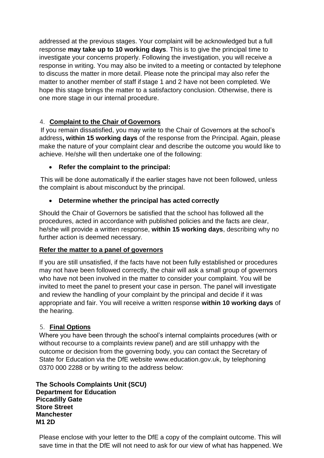addressed at the previous stages. Your complaint will be acknowledged but a full response **may take up to 10 working days**. This is to give the principal time to investigate your concerns properly. Following the investigation, you will receive a response in writing. You may also be invited to a meeting or contacted by telephone to discuss the matter in more detail. Please note the principal may also refer the matter to another member of staff if stage 1 and 2 have not been completed. We hope this stage brings the matter to a satisfactory conclusion. Otherwise, there is one more stage in our internal procedure.

# 4. **Complaint to the Chair of Governors**

If you remain dissatisfied, you may write to the Chair of Governors at the school's address**, within 15 working days** of the response from the Principal. Again, please make the nature of your complaint clear and describe the outcome you would like to achieve. He/she will then undertake one of the following:

# **Refer the complaint to the principal:**

This will be done automatically if the earlier stages have not been followed, unless the complaint is about misconduct by the principal.

# **Determine whether the principal has acted correctly**

Should the Chair of Governors be satisfied that the school has followed all the procedures, acted in accordance with published policies and the facts are clear, he/she will provide a written response, **within 15 working days**, describing why no further action is deemed necessary.

#### **Refer the matter to a panel of governors**

If you are still unsatisfied, if the facts have not been fully established or procedures may not have been followed correctly, the chair will ask a small group of governors who have not been involved in the matter to consider your complaint. You will be invited to meet the panel to present your case in person. The panel will investigate and review the handling of your complaint by the principal and decide if it was appropriate and fair. You will receive a written response **within 10 working days** of the hearing.

#### 5. **Final Options**

Where you have been through the school's internal complaints procedures (with or without recourse to a complaints review panel) and are still unhappy with the outcome or decision from the governing body, you can contact the Secretary of State for Education via the DfE website [www.education.gov.uk, b](http://www.education.gov.uk/)y telephoning 0370 000 2288 or by writing to the address below:

**The Schools Complaints Unit (SCU) Department for Education Piccadilly Gate Store Street Manchester M1 2D**

Please enclose with your letter to the DfE a copy of the complaint outcome. This will save time in that the DfE will not need to ask for our view of what has happened. We